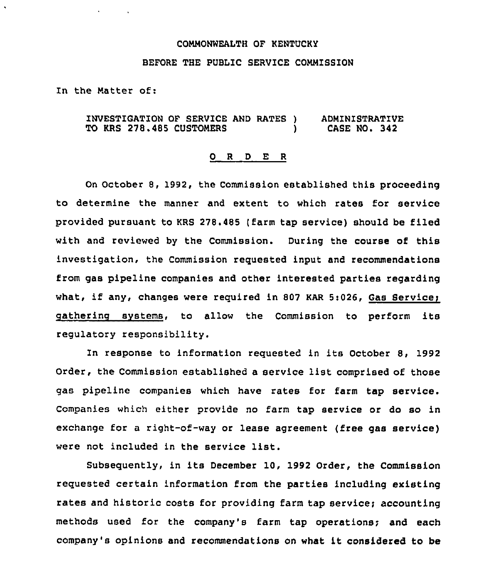# COMMONWEALTH OF KENTUCKY

# BEFORE THE PUBLIC SERVICE COMMISSION

In the Matter of:

INVESTIGATION OF SERVICE AND RATES ) TO KRS 278.485 CUSTOMERS ADMINISTRATIVE CASE NO. 342

### 0 <sup>R</sup> <sup>D</sup> E <sup>R</sup>

On October 8, 1992, the Commission established this proceeding to determine the manner and extent to which rates for service provided pursuant to KRS 278.485 (farm tap service) should be filed with and reviewed by the Commission. During the course of this investigation, the Commission requested input and recommendations from gas pipeline companies and other interested parties regarding what, if any, changes were required in 807 KAR 5:026, Gas Service; catherine svstems, to allow the Commission to perform its regulatory responsibility.

In response to information requested in its October 8, 1992 Order, the Commission established a service list comprised of those gas pipeline companies which have rates for farm tap service. Companies which either provide no farm tap service or do so in exchange for a right-of-way or lease agreement (free gas service) were not included in the service list.

Subsequently, in its December 10, 1992 Order, the Commission requested certain information from the parties including existing rates and historic costs for providing farm tap service; accounting methods used for the company's farm tap operations; and each company's opinions and recommendations on what it considered to be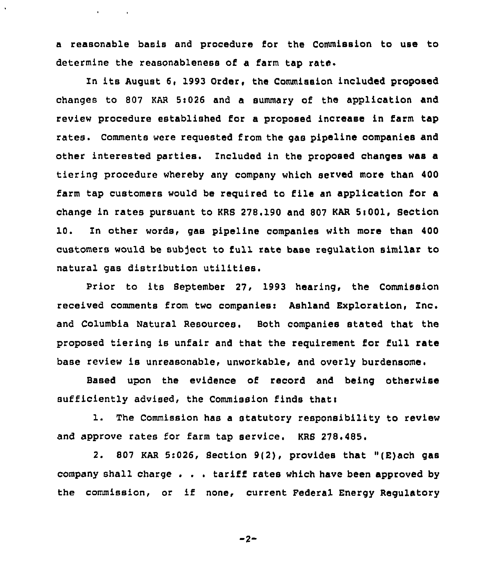a reasonable basis and procedure for the Commission to use to determine the reasonableness of a farm tap rate.

 $\mathbf{q} = \left\{ \mathbf{q} \in \mathbb{R}^d \mid \mathbf{q} \in \mathbb{R}^d \right\}$ 

In its August 6, 1993 Order, the Commission included proposed changes to 807 KAR St026 and a summary of the application and review procedure established for a proposed increase in farm tap rates. Comments were requested from the gas pipeline companies and other interested parties. Included in the proposed changes was a tiering procedure whereby any company which served more than 400 farm tap customers would be required to file an application for a change in rates pursuant to KRS 278.190 and 807 KAR  $5:001$ , Section 10. In other words, gas pipeline companies with more than 400 customers would be subject to full rate base regulation similar to natural gas distribution utilities.

Prior to its September 27, 1993 hearing, the Commission received comments from two companiesi Ashland Exploration, Inc. and Columbia Natural Resources. Both companies stated that the proposed tiering is unfair and that the requirement for full rate base review is unreasonable, unworkable, and overly burdensome.

Based upon the evidence of record and being otherwise sufficiently advised, the Commission finds that:

1. The Commission has <sup>a</sup> statutory responsibility to review and approve rates for farm tap service. KRS 278.485.

2. 807 KAR 5:026, Section 9(2), provides that "(E)ach gas company shall charge . . . tariff rates which have been approved by the commission, or if none, current Federal Energy Regulatory

$$
-2
$$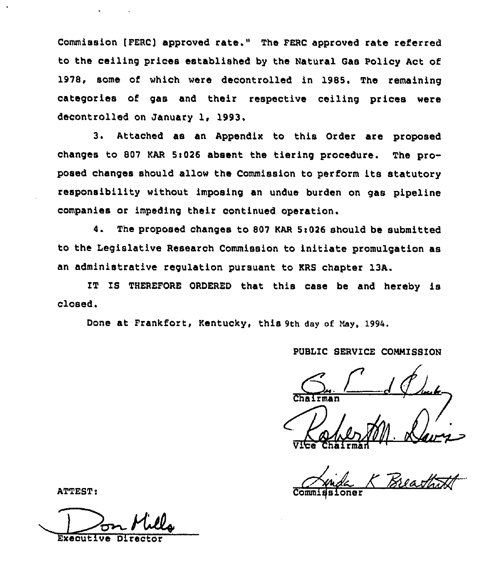Commission (FERC] approved rate." The FERC approved rate referred to the ceiling prices established by the Natural Gas Policy Act of 1978, some of which were decontrolled in 1985. The remaining categories of gas and their respective ceiling prices were decontrolled on January 1, 1993.

3. Attached as an Appendix to this Order are proposed changes to 807 KAR 5:026 absent the tiering procedure. The proposed changes should allow the Commission to perform its statutory responsibility without imposing an undue burden on gas pipeline companies or impeding their continued operation.

4. The proposed changes to 807 KAR 5i026 should be submitted to the Legislative Research Commission to initiate promulgation as an administrative regulation pursuant to KRS chapter 13A.

IT IS THEREFORE ORDERED that this case be and hereby is closed.

Done at Frankfort, Kentucky, this 9th day of May, 1994.

PUBLIC SERVICE COMMISSION **Fman** V<del>ice Chairma</del>

Executive Direc

ATTEST: Commigsioner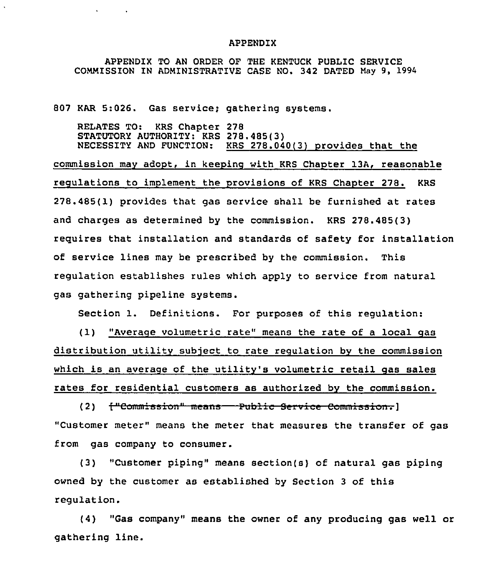### APPENDIX

APPENDIX TO AN ORDER OF THE KENTUCK PUBLIC SERVICE COMMISSION IN ADMINISTRATIVE CASE NO. 342 DATED May 9, 1994

807 KAR 5:026. Gas service; gathering systems.

 $\mathbf{A}$  and  $\mathbf{A}$  are  $\mathbf{A}$  . The  $\mathbf{A}$ 

RELATES TO: KRS Chapter 278 STATUTORY AUTHORITY: KRS 278.485(3) NECESSITY AND FUNCTION: KRS 278.040(3) provides that the

commission may adopt, in keeping with KRS Chapter 13A, reasonable regulations to implement the provisions of KRS Chapter 278. KRS 278.485(1) provides that gas service shall be furnished at rates and charges as determined by the commission. KRS 278.485(3) requires that installation and standards of safety for installation of service lines may be prescribed by the commission. This regulation establishes rules which apply to service from natural gas gathering pipeline systems.

Section 1. Definitions. For purposes of this regulation:

( 1) "Averaqe volumetric rate" means the rate of <sup>a</sup> local qas distribution utility subject to rate requlation bv the commission which is an averaqe of the utility's volumetric retail qas sales rates for residential customers as authorized by the commission.

(2) <del>["Commis</del> "Customer meter" means the meter that measures the transfer of gas from gas company to consumer.

(3) "Customer piping" means section(s} of natural gas piping owned by the customer as established by Section 3 of this regulation.

(4) "Gas company" means the owner of any producing gas well or gathering line.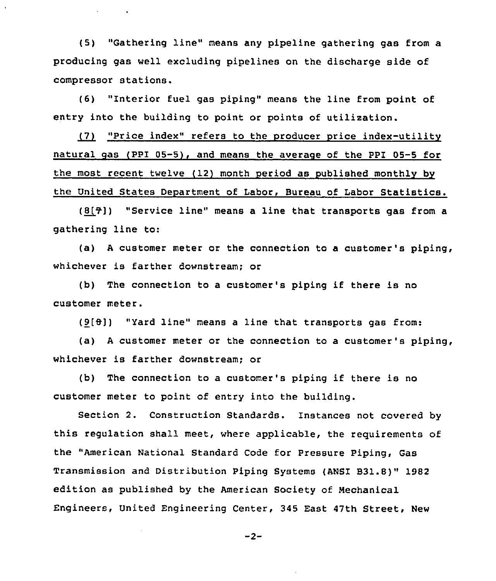(5) "Gathering line" means any pipeline gathering gas from a producing gas well excluding pipelines on the discharge side of compressor stations.

 $\mathcal{A}(\mathbf{X})$  and  $\mathcal{A}(\mathbf{X})$  . The  $\mathcal{A}(\mathbf{X})$ 

(6) "Interior fuel gas piping" means the line from point of entry into the building to point or points of utilization.

~7 "Price index" refers to the producer price index-utilitv natural gas (PPI 05-5), and means the average of the PPI 05-5 for the most recent twelve (12) month period as published monthly by the United States Department of Labor, Bureau of Labor Statistics.

 $(8[7])$  "Service line" means a line that transports gas from a gathering line to:

(a) <sup>A</sup> customer meter or the connection to a customer's piping, whichever is farther downstream; or

(b) The connection to <sup>a</sup> customer's piping if there is no customer meter.

(9[8]) "Yard line" means <sup>a</sup> line that transports gas from:

(a) <sup>A</sup> customer meter or the connection to a customer's piping, whichever is farther downstream; or

(b) The connection to <sup>a</sup> customer's piping if there is no customer meter to point of entry into the building.

Section 2. Construction Standards. Instances not covered by this regulation shall meet, where applicable, the requirements of the "American National Standard Code for Pressure Piping, Gas Transmission and Distribution Piping Systems {ANSI B31.8)" 1982 edition as published by the American Society of Mechanical Engineers, United Engineering Center, 345 East 47th Street, New

$$
-2 -
$$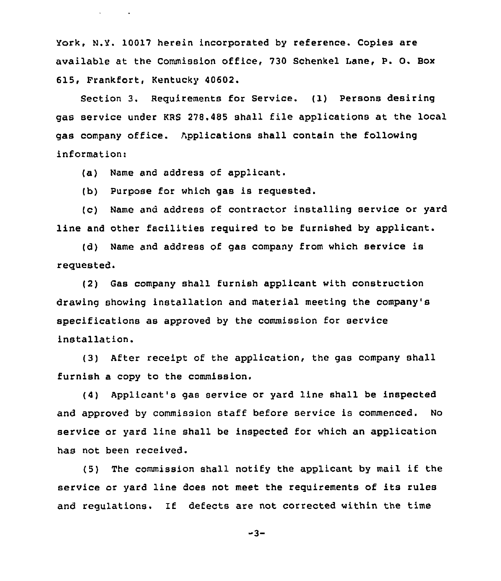york, N.V. 10017 herein incorporated by reference. Copies are available at the Commission office, 730 Schenkel lane, P. O. Box 615, Frankfort, Kentucky 40602.

Section 3. Requirements for Service. (1) Persons desiring gas service under KRS 278.485 shall file applications at the local gas company office. Applications shall contain the following information:

(a) Name and address of applicant.

**Service Control** 

(b) Purpose for which gas is requested.

(c) Name and address of contractor installing service or yard line and other facilities required to be furnished by applicant.

(d) Name and address of gas company from which service is requested.

(2) Gas company shall furnish applicant with construction drawing showing installation and material meeting the company'B specifications as approved by the commission for service installation.

(3) After receipt of the application, the gas company shall furnish a copy to the commission,

(4) Applicant's gas service or yard line shall be inspected and approved by commission staff before service is commenced. No service or yard line shall be inspected for which an application has not been received.

(5) The commission shall notify the applicant by mail if the service or yard line does not meet the requirements of its rules and regulations. If defects are not corrected within the time

 $-3-$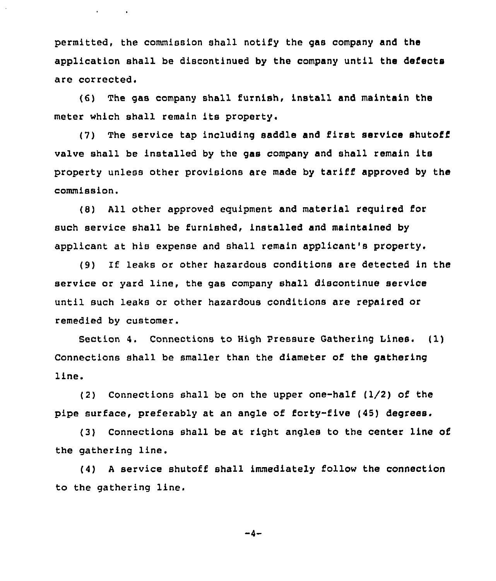permitted, the commission shall notify the gas company and the application shall be discontinued by the company until the defects are corrected.

**Contract Contract** 

(6) The gas company shall furnish, install and maintain the meter which shall remain its property.

(7) The service tap including saddle and first service shutoff valve shall be installed by the gas company and shall remain its property unless other provisions are made by tariff approved by the commission.

(8) All other approved equipment and material reguired for such service shall be furnished, installed and maintained by applicant at his expense and shall remain applicant's property,

(9) If leaks or other hazardous conditions are detected in the service or yard line, the gas company shall discontinue service until such leaks or other hazardous conditions are repaired or remedied by customer.

Section 4. Connections to High Pressure Gathering Lines. (1) Connections shall be smaller than the diameter of the gathering line.

(2) Connections shall be on the upper one-half (I/2) of the pipe surface, preferably at an angle of forty-five (45) degrees.

(3) Connections shall be at right angles to the center line of the gathering line.

(4) <sup>A</sup> service shutoff shall immediately follow the connection to the gathering line.

 $-4-$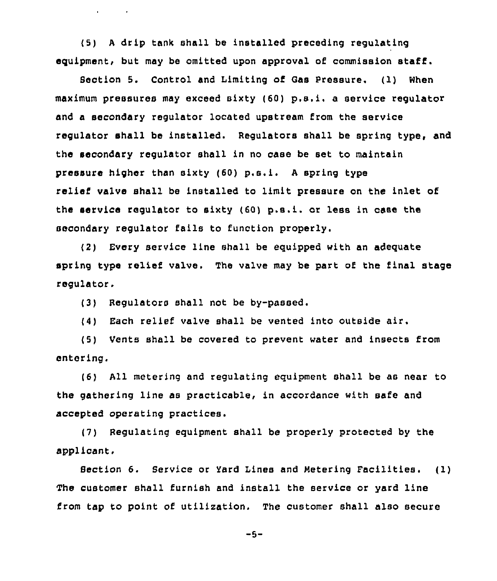(5) <sup>A</sup> drip tank shall be installed preceding regulating equipment, but may be omitted upon approval of commission staff.

Section 5. Control and Limiting of Gas Pressure. (1) When maximum pressures may exceed sixty (60) p.s.i, <sup>a</sup> service regulator and a secondary regulator located upstream from the service regulator shall be installed. Regulators shall be spring type, and the secondary regulator shall in no case be set to maintain pressure higher than sixty (60) p.s.i. <sup>A</sup> spring type relief valve shall be installed to limit pressure on the inlet of the service regulator to sixty (60) p.s.i. or less in case the secondary regulator fails to function properly.

(2) Cvery service line shall be equipped with an adequate spring type relief valve. The valve may be part of the final stage regulator regulator.

(3) Regulators shall not be by-passed.

and the state of

(4) Each relief valve shall be vented into outside air.

(5) Vents shall be covered to prevent water and insects from entering.

(6) All metering and regulating equipment shall be as near to the gathering line as practicable, in accordance with safe and accepted operating practices.

(7) Regulating equipment shall be properly protected by the applicant,

Section 6. Service or Yard Lines and Metering Pacilities. ( 1) The customer shall furnish and install the service or yard line from tap to point of utilization. The customer shall also secure

 $-5-$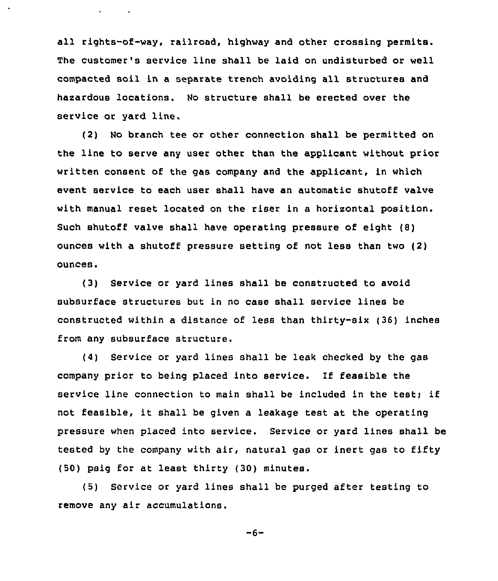all rights-of-way, railroad, highway and other crossing permits. The customer's service line shall be laid on undisturbed or well compacted soil in a separate trench avoiding all structures and hasardous locations. No structure shall be erected over the service or yard line.

 $\mathbf{v} = \mathbf{v} \times \mathbf{v}$  .

(2) No branch tee or other connection shall be permitted on the line to serve any user other than the applicant without prior written consent of the gas company and the applicant, in which event service to each user shall have an automatic shutoff valve with manual reset located on the riser in a horisontal position. Such shutoff valve shall have operating pressure of eight (8} ounces with a shutoff pressure setting of not less than two (2) ounces.

(3) Service or yard lines shall be constructed to avoid subsurface structures but in no case shall service lines be constructed within a distance of less than thirty-six (36) inches from any subsurface structure.

(4) Service or yard lines shall be leak checked by the gas company prior to being placed into service. lf feasible the service line connection to main shall be included in the test; if not feasible, it shall be given <sup>a</sup> leakage test at the operating pressure when placed into service. Service or yard lines shall be tested by the company with air, natural gas or inert gas to fifty (50) psig for at least thirty (30) minutes.

(5) Service or yard lines shall be purged after testing to remove any air accumulations.

 $-6-$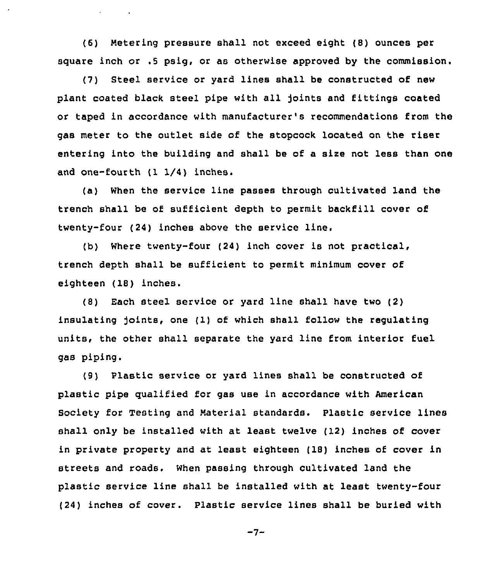(6) Metering pressure shall not exceed eight (8) ounces per square inch or .5 psig, or as otherwise approved by the commission.

**Contract Contract** 

(7) Steel service or yard lines shall be constructed of new plant coated black steel pipe with all joints and fittings coated or taped in accordance with manufacturer's recommendations from the gas meter to the outlet side of the stopcock located on the riser entering into the building and shall be of a size not less than one and one-fourth (1 1/4) inches.

(a) When the service line passes through cultivated land the trench shall be of sufficient depth to permit backfill cover of twenty-four (24) inches above the service

Where twenty-four (24) inch cover is not practical, trench depth shall be sufficient to permit minimum cover of eighteen (18) inches.

(8) Each steel service or yard line shall have two (2) insulating joints, one (1) of which shall follow the regulating units, the other shall separate the yard line from interior fuel gas piping.

(8) Plastic service or yard lines shall be constructed of plastic pipe qualified for gas use in accordance with American Society for Testing and Material standards. Plastic service lines shall only be installed with at least twelve (12) inches of cover in private property and at least eighteen (18) inches of cover in streets and roads. When passing through cultivated land the plastic service line shall be installed with at least twenty-four (24) inches of cover. Plastic service lines shall be buried with

 $-7-$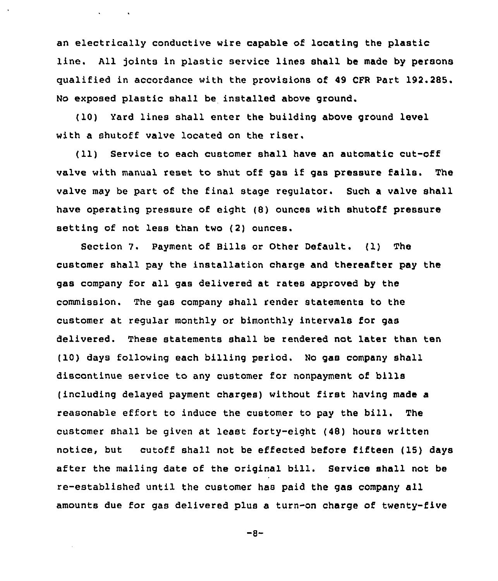an electrically conductive wire capable of locating the plastic line. All joints in plastic service lines shall be made by persons qualified in accordance with the provisions of 49 CPR Part 192.285. No exposed plastic shall be installed above ground.

(10) Yard lines shall enter the building above ground level with a shutoff valve located on the riser.

 $\Delta \phi = 0.01$  ,  $\Delta \phi =$ 

(11) Service to each customer shall have an automatic cut-off valve with manual reset to shut off gas if gas pressure fails. The valve may be part of the final stage regulator. Such a valve shall have operating pressure of eight (8) ounces with shutoff pressure setting of not less than two (2) ounces.

Section 7. Payment of Bills or Other Default. (1) The customer shall pay the installation charge and thereafter pay the gas company for all gas delivered at rates approved by the commission. The gas company shall render statements to the customer at regular monthly or bimonthly intervals for gas delivered. These statements shall be rendered not later than ten (10) days following each billing period. No gas company shall discontinue service to any customer for nonpayment of bills (including delayed payment charges) without first having made a reasonable effort to induce the customer to pay the bill. The customer shall be given at least forty-eight (48) hours written notice, but cutoff shall not be effected before fifteen ( 15) days after the mailing date of the original bill. Service shall not be re-established until the customer has paid the gas company all amounts due for gas delivered plus a turn-on charge of twenty-five

 $-8-$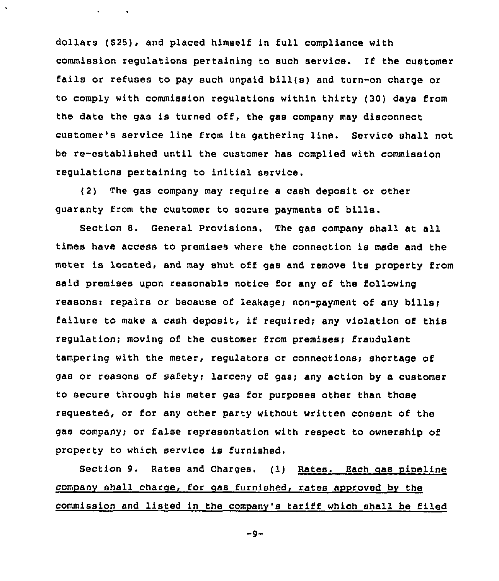dollars (\$25), and placed himself in full compliance with commission regulations pertaining to such service. If the customer fails or refuses to pay such unpaid bill(s) and turn-on charge or to comply with commission regulations within thirty (30) days from the date the gas is turned off, the gas company may disconnect customer's service line from its gathering line. Service shall not be re-established until the customer has complied with commission regulations pertaining to initial service.

(2) The gas company may require a cash deposit or other guaranty from the customer to secure payments of bills.

 $\mathbf{r} = \mathbf{r} \times \mathbf{r}$  .

Section 8. General provisions. The gas company shall at all times have access to premises where the connection is made and the meter is located, and may shut off gas and remove its property from said premises upon reasonable notice for any of the following reasons: repairs or because of leakage; non-payment of any bills) failure to make a cash deposit, if required; any violation of this regulation; moving of the customer from premises) fraudulent tampering with the meter, regulators or connections; shortage of gas or reasons of safety; larceny of gas; any action by a customer to secure through his meter gas for purposes other than those requested, or for any other party without written consent of the gas company; or false representation with respect to ownership of property to which service is furnished.

Section 9. Rates and Charges. (1) Rates. Each gas pipeline company shall charge, for gas furnished, rates approved by the commission and listed in the company's tariff which shall be filed

 $-9-$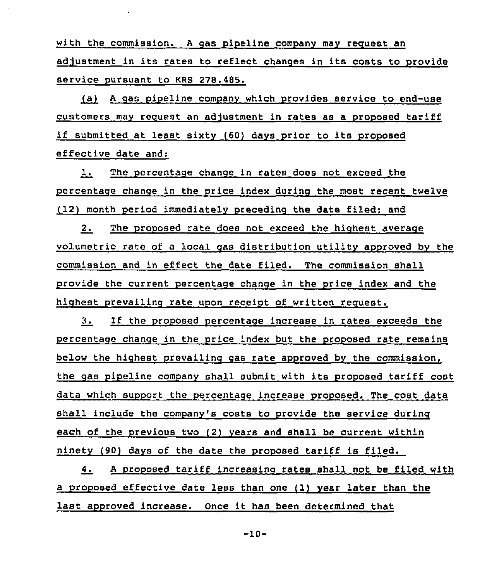with the commission. A gas pipeline company may request an adjustment in its rates to reflect changes in its costs to provide service pursuant to KRS 278.485.

(a) A gas pipeline company which provides service to end-use customers mav request an adjustment in rates as a proposed tariff if submitted at least sixty (60) days prior to its proposed effective date and:

1. The percentage change in rates does not exceed the percentage change in the price index durinq the most recent twelve (12) month period immediately precedinq the date filed; and

2. The proposed rate does not exceed the highest average volumetric rate of a local qas distribution utilitv approved bv the commission and in effect the date filed. The commission shall provide the current percentage chanqe in the price index and the highest prevailinq rate upon receipt of written request.

3. If the proposed percentage increase in rates exceeds the percentaqe chanqe in the price index but the proposed rate remains below the highest prevailing gas rate approved by the commission, the gas pipeline company shall submit with its proposed tariff cost data which support the percentage increase proposed. The cost data shall include the companv's costs to provide the service during each of the previous two (2) years and shall be current within ninetv (90) dave of the date the proposed tariff is filed.

4. <sup>A</sup> proposed tariff increasing rates shall not be filed with a proposed effective date less than one (1) vear later than the last approved increase. Once it has been determined that

-10-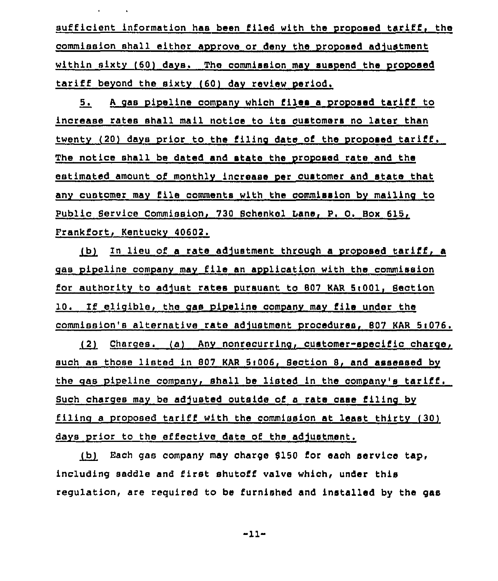sufficient information has been filed with the proposed tariff, the commission shall either approve or denv the proposed adjustment within sixty (60) days. The commission may suspend the proposed tariff beyond the sixty (60) day review period.

5, <sup>A</sup> gas pipeline companv which files <sup>a</sup> proposed tariff to increase rates shall mail notice to ite customers no later than twenty (20) days prior to the filing date of the proposed tariff. The notice shall be dated and state the proposed rate and the estimated amount of monthly increase per customer and state that any customer may file comments with the commission by mailing to Public Service Commission, 730 8chenkel bane, P. 0. Box 615, Prankfort, Kentuckv 40602.

 $~$  (b) In lieu of a rate adjustment through a proposed tariff, a gas pipeline company mav file an application with the commission for authority to adjust rates pursuant to 807 KAR 5i001, Section 10. 1f eligible, the gas pipeline companv mav file under the commission's alternative rate adjustment procedures, 807 KAR 5:076.

~2 Charges. (a) Anv nonrecurring, customer-specific charge, such as those listed in 807 KAR 5:006, Section 8, and assessed by the gas pipeline company, shall be listed in the company's tariff. Such charges may be adjusted outside of a rate case filing by filing a proposed tariff with the commission at least thirty  $(30)$ dave prior to the effective date of the adjustment.

(b) Each gas company may charge \$150 for each service tap, including saddle and first shutoff valve which< under this regulation, are required to be furnished and installed by the gas

-11-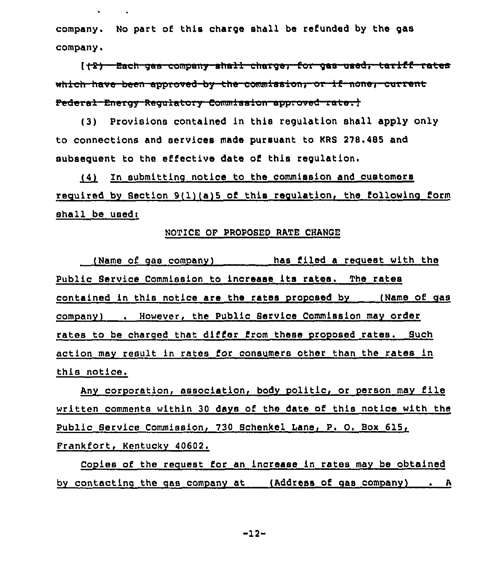company. No part of this charge shall be refunded by the gas company.

(+2) - Bach gas company ahall charge. for gas used, tariff rates which have been approved by the commission, or if none, current Pederal Energy Regulatory Commission approved rate; }

(3) Provisions contained in this regulation shall apply only to connections and services made pursuant to KRS 278.485 and subsequent to the effective date of this regulation.

(4) In submitting notice to the commission and customers required by Section 9(1) (a) 5 of this regulation, the following form  $shall$  be used:

# NOTICE OF PROPOSED RATE CHANGE

(Name of gas comnanV) has filed a recuest with the Public Service Commission to increase its rates. The rates contained in this notice are the rates proposed by (Name of gas companV) . However, the Public Service Commission mav order rates to be charged that differ from these proposed rates. Such action may result in rates for consumers other than the rates in this notice.

Any corporation, association, body politic, or person may file written comments within 30 days of the date of this notice with the Public Service Commission, 730 Schenkel Lane, P. O. Box 615, Frankfort, Kentucky 40602.

Copies of the request for an increase in rates may be obtained by contacting the gas company at (Address of gas company) . A